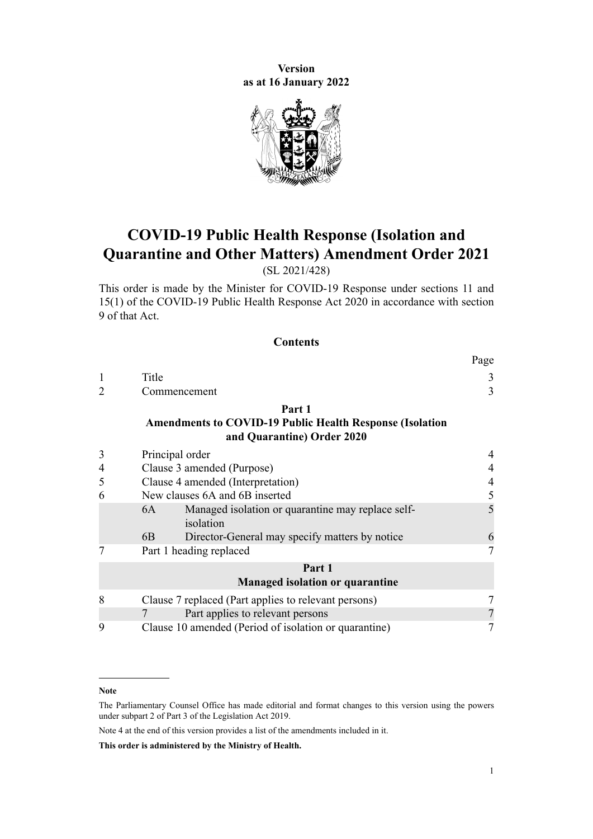**Version as at 16 January 2022**



# **COVID-19 Public Health Response (Isolation and Quarantine and Other Matters) Amendment Order 2021**

(SL 2021/428)

This order is made by the Minister for COVID-19 Response under [sections 11](http://legislation.govt.nz/pdflink.aspx?id=LMS344177) and [15\(1\)](http://legislation.govt.nz/pdflink.aspx?id=LMS344183) of the [COVID-19 Public Health Response Act 2020](http://legislation.govt.nz/pdflink.aspx?id=LMS344121) in accordance with [section](http://legislation.govt.nz/pdflink.aspx?id=LMS344175) [9](http://legislation.govt.nz/pdflink.aspx?id=LMS344175) of that Act.

#### **Contents**

|   |                                                                                                         | $1 \mu_{5}$    |
|---|---------------------------------------------------------------------------------------------------------|----------------|
|   | Title                                                                                                   | 3              |
|   | Commencement                                                                                            | $\overline{3}$ |
|   | Part 1<br><b>Amendments to COVID-19 Public Health Response (Isolation</b><br>and Quarantine) Order 2020 |                |
| 3 | Principal order                                                                                         |                |
| 4 | Clause 3 amended (Purpose)                                                                              | 4              |
| 5 | Clause 4 amended (Interpretation)                                                                       | $\overline{4}$ |
| 6 | New clauses 6A and 6B inserted                                                                          | 5              |
|   | Managed isolation or quarantine may replace self-<br>6A<br>isolation                                    | 5              |
|   | Director-General may specify matters by notice<br>6B.                                                   | 6              |
|   | Part 1 heading replaced                                                                                 | 7              |
|   | Part 1<br><b>Managed isolation or quarantine</b>                                                        |                |
| 8 | Clause 7 replaced (Part applies to relevant persons)                                                    |                |
|   | Part applies to relevant persons                                                                        |                |
| 9 | Clause 10 amended (Period of isolation or quarantine)                                                   |                |

#### **Note**

Note 4 at the end of this version provides a list of the amendments included in it.

**This order is administered by the Ministry of Health.**

 $p_{\alpha\alpha}$ 

The Parliamentary Counsel Office has made editorial and format changes to this version using the powers under [subpart 2](http://legislation.govt.nz/pdflink.aspx?id=DLM7298371) of Part 3 of the Legislation Act 2019.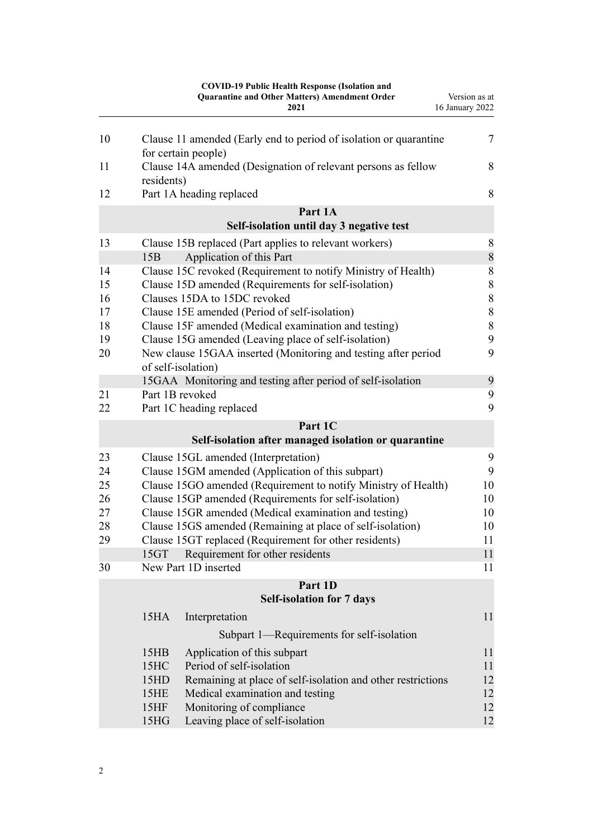|          |                   | <b>COVID-19 Public Health Response (Isolation and</b><br><b>Quarantine and Other Matters) Amendment Order</b><br>2021 | Version as at<br>16 January 2022 |
|----------|-------------------|-----------------------------------------------------------------------------------------------------------------------|----------------------------------|
|          |                   |                                                                                                                       |                                  |
| 10       |                   | Clause 11 amended (Early end to period of isolation or quarantine<br>for certain people)                              | 7                                |
| 11       | residents)        | Clause 14A amended (Designation of relevant persons as fellow                                                         | 8                                |
| 12       |                   | Part 1A heading replaced                                                                                              | 8                                |
|          |                   | Part 1A                                                                                                               |                                  |
|          |                   | Self-isolation until day 3 negative test                                                                              |                                  |
| 13       |                   | Clause 15B replaced (Part applies to relevant workers)                                                                | 8                                |
|          | 15B               | Application of this Part                                                                                              | $\,$ $\,$                        |
| 14<br>15 |                   | Clause 15C revoked (Requirement to notify Ministry of Health)<br>Clause 15D amended (Requirements for self-isolation) | $\,$ $\,$                        |
| 16       |                   | Clauses 15DA to 15DC revoked                                                                                          | $\,$ $\,$<br>$\,$ $\,$           |
| 17       |                   | Clause 15E amended (Period of self-isolation)                                                                         | $\,$ $\,$                        |
| 18       |                   | Clause 15F amended (Medical examination and testing)                                                                  | 8                                |
| 19       |                   | Clause 15G amended (Leaving place of self-isolation)                                                                  | 9                                |
| 20       |                   | New clause 15GAA inserted (Monitoring and testing after period<br>of self-isolation)                                  | 9                                |
|          |                   | 15GAA Monitoring and testing after period of self-isolation                                                           | 9                                |
| 21       |                   | Part 1B revoked                                                                                                       | 9                                |
| 22       |                   | Part 1C heading replaced                                                                                              | 9                                |
|          |                   | Part 1C                                                                                                               |                                  |
|          |                   | Self-isolation after managed isolation or quarantine                                                                  |                                  |
| 23       |                   | Clause 15GL amended (Interpretation)                                                                                  | 9                                |
| 24       |                   | Clause 15GM amended (Application of this subpart)                                                                     | 9                                |
| 25       |                   | Clause 15GO amended (Requirement to notify Ministry of Health)                                                        | 10                               |
| 26       |                   | Clause 15GP amended (Requirements for self-isolation)                                                                 | 10                               |
| 27       |                   | Clause 15GR amended (Medical examination and testing)                                                                 | 10                               |
| 28<br>29 |                   | Clause 15GS amended (Remaining at place of self-isolation)<br>Clause 15GT replaced (Requirement for other residents)  | 10<br>11                         |
|          | 15GT              | Requirement for other residents                                                                                       | 11                               |
| 30       |                   | New Part 1D inserted                                                                                                  | 11                               |
|          |                   | Part 1D                                                                                                               |                                  |
|          |                   | <b>Self-isolation for 7 days</b>                                                                                      |                                  |
|          | 15 <sub>HA</sub>  | Interpretation                                                                                                        | 11                               |
|          |                   | Subpart 1-Requirements for self-isolation                                                                             |                                  |
|          | 15HB              | Application of this subpart                                                                                           | 11                               |
|          | 15HC              | Period of self-isolation                                                                                              | 11                               |
|          | 15HD              | Remaining at place of self-isolation and other restrictions                                                           | 12                               |
|          | 15HE              | Medical examination and testing                                                                                       | 12                               |
|          | 15HF              | Monitoring of compliance                                                                                              | 12                               |
|          | 15 <sub>H</sub> G | Leaving place of self-isolation                                                                                       | 12                               |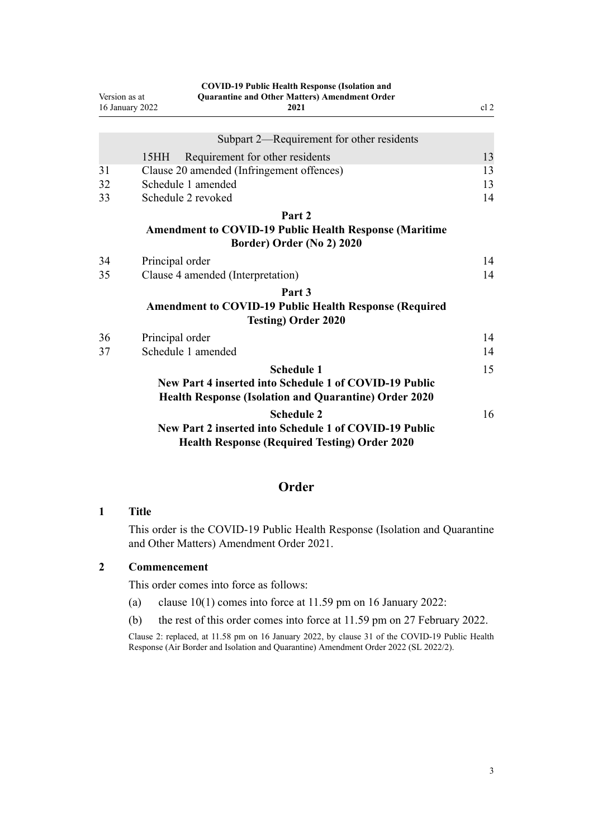<span id="page-2-0"></span>

| Version as at<br>16 January 2022 |                 | <b>COVID-19 Public Health Response (Isolation and</b><br><b>Quarantine and Other Matters) Amendment Order</b><br>2021 |    |
|----------------------------------|-----------------|-----------------------------------------------------------------------------------------------------------------------|----|
|                                  |                 |                                                                                                                       |    |
|                                  |                 | Subpart 2—Requirement for other residents                                                                             |    |
|                                  | 15HH            | Requirement for other residents                                                                                       | 13 |
| 31                               |                 | Clause 20 amended (Infringement offences)                                                                             | 13 |
| 32                               |                 | Schedule 1 amended                                                                                                    | 13 |
| 33                               |                 | Schedule 2 revoked                                                                                                    | 14 |
|                                  |                 | Part 2                                                                                                                |    |
|                                  |                 | <b>Amendment to COVID-19 Public Health Response (Maritime</b>                                                         |    |
|                                  |                 | Border) Order (No 2) 2020                                                                                             |    |
| 34                               | Principal order |                                                                                                                       | 14 |
| 35                               |                 | Clause 4 amended (Interpretation)                                                                                     | 14 |
|                                  |                 | Part <sub>3</sub>                                                                                                     |    |
|                                  |                 | <b>Amendment to COVID-19 Public Health Response (Required</b><br><b>Testing) Order 2020</b>                           |    |
| 36                               | Principal order |                                                                                                                       | 14 |
| 37                               |                 | Schedule 1 amended                                                                                                    | 14 |
|                                  |                 |                                                                                                                       |    |
|                                  |                 | <b>Schedule 1</b>                                                                                                     | 15 |
|                                  |                 | New Part 4 inserted into Schedule 1 of COVID-19 Public                                                                |    |
|                                  |                 | <b>Health Response (Isolation and Quarantine) Order 2020</b>                                                          |    |
|                                  |                 | <b>Schedule 2</b>                                                                                                     | 16 |
|                                  |                 | New Part 2 inserted into Schedule 1 of COVID-19 Public                                                                |    |
|                                  |                 | <b>Health Response (Required Testing) Order 2020</b>                                                                  |    |

## **Order**

## **1 Title**

This order is the COVID-19 Public Health Response (Isolation and Quarantine and Other Matters) Amendment Order 2021.

## **2 Commencement**

This order comes into force as follows:

- (a) [clause 10\(1\)](#page-6-0) comes into force at 11.59 pm on 16 January 2022:
- (b) the rest of this order comes into force at 11.59 pm on 27 February 2022.

Clause 2: replaced, at 11.58 pm on 16 January 2022, by [clause 31](http://legislation.govt.nz/pdflink.aspx?id=LMS629331) of the COVID-19 Public Health Response (Air Border and Isolation and Quarantine) Amendment Order 2022 (SL 2022/2).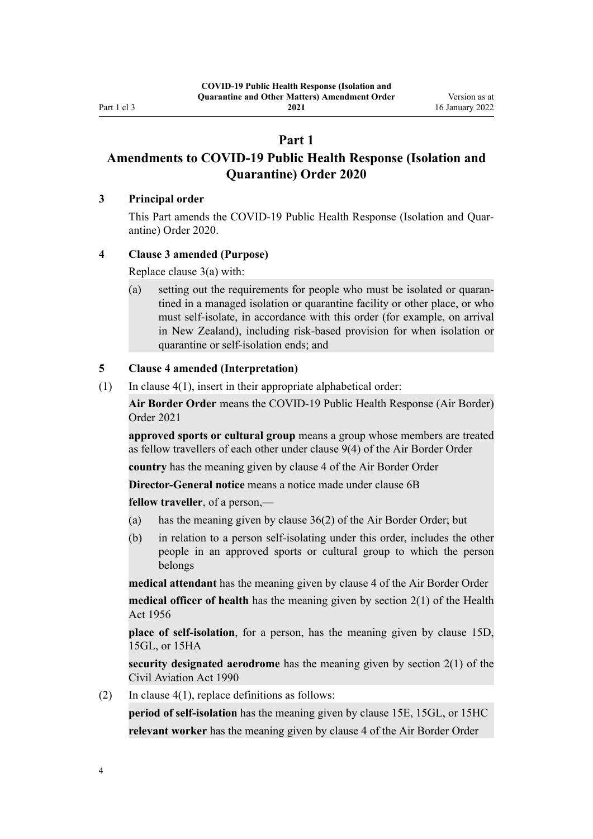<span id="page-3-0"></span>Part 1 cl 3

**2021**

## **Part 1**

## **Amendments to COVID-19 Public Health Response (Isolation and Quarantine) Order 2020**

### **3 Principal order**

This Part amends the COVID-19 Public Health Response (Isolation and Quar[antine\) Order 2020.](http://legislation.govt.nz/pdflink.aspx?id=LMS401666)

## **4 Clause 3 amended (Purpose)**

Replace [clause 3\(a\)](http://legislation.govt.nz/pdflink.aspx?id=LMS401672) with:

(a) setting out the requirements for people who must be isolated or quaran‐ tined in a managed isolation or quarantine facility or other place, or who must self-isolate, in accordance with this order (for example, on arrival in New Zealand), including risk-based provision for when isolation or quarantine or self-isolation ends; and

## **5 Clause 4 amended (Interpretation)**

(1) In clause  $4(1)$ , insert in their appropriate alphabetical order:

**Air Border Order** means the COVID-19 Public Health Response (Air Border) Order 2021

**approved sports or cultural group** means a group whose members are treated as fellow travellers of each other under clause 9(4) of the Air Border Order

**country** has the meaning given by clause 4 of the Air Border Order

**Director-General notice** means a notice made under clause 6B

**fellow traveller**, of a person,—

- (a) has the meaning given by clause 36(2) of the Air Border Order; but
- (b) in relation to a person self-isolating under this order, includes the other people in an approved sports or cultural group to which the person belongs

**medical attendant** has the meaning given by clause 4 of the Air Border Order **medical officer of health** has the meaning given by section 2(1) of the Health Act 1956

**place of self-isolation**, for a person, has the meaning given by clause 15D, 15GL, or 15HA

**security designated aerodrome** has the meaning given by section 2(1) of the Civil Aviation Act 1990

(2) In clause  $4(1)$ , replace definitions as follows:

**period of self-isolation** has the meaning given by clause 15E, 15GL, or 15HC **relevant worker** has the meaning given by clause 4 of the Air Border Order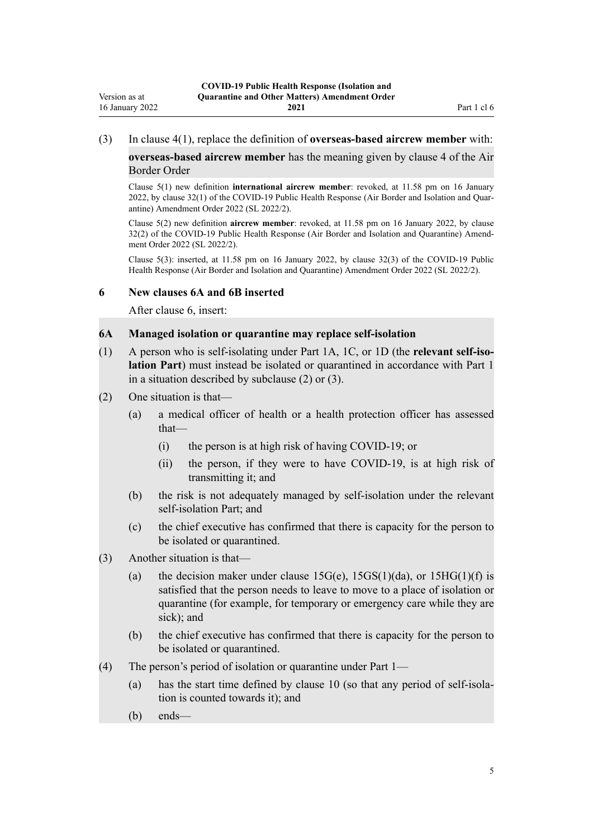#### <span id="page-4-0"></span>(3) In [clause 4\(1\)](http://legislation.govt.nz/pdflink.aspx?id=LMS401701), replace the definition of **overseas-based aircrew member** with:

**overseas-based aircrew member** has the meaning given by clause 4 of the Air Border Order

Clause 5(1) new definition **international aircrew member**: revoked, at 11.58 pm on 16 January 2022, by [clause 32\(1\)](http://legislation.govt.nz/pdflink.aspx?id=LMS629337) of the COVID-19 Public Health Response (Air Border and Isolation and Quarantine) Amendment Order 2022 (SL 2022/2).

Clause 5(2) new definition **aircrew member**: revoked, at 11.58 pm on 16 January 2022, by [clause](http://legislation.govt.nz/pdflink.aspx?id=LMS629337) [32\(2\)](http://legislation.govt.nz/pdflink.aspx?id=LMS629337) of the COVID-19 Public Health Response (Air Border and Isolation and Quarantine) Amend‐ ment Order 2022 (SL 2022/2).

Clause 5(3): inserted, at 11.58 pm on 16 January 2022, by [clause 32\(3\)](http://legislation.govt.nz/pdflink.aspx?id=LMS629337) of the COVID-19 Public Health Response (Air Border and Isolation and Quarantine) Amendment Order 2022 (SL 2022/2).

#### **6 New clauses 6A and 6B inserted**

After [clause 6,](http://legislation.govt.nz/pdflink.aspx?id=LMS401703) insert:

#### **6A Managed isolation or quarantine may replace self-isolation**

- (1) A person who is self-isolating under Part 1A, 1C, or 1D (the **relevant self-iso‐ lation Part**) must instead be isolated or quarantined in accordance with Part 1 in a situation described by subclause (2) or (3).
- (2) One situation is that—
	- (a) a medical officer of health or a health protection officer has assessed that—
		- (i) the person is at high risk of having COVID-19; or
		- (ii) the person, if they were to have COVID-19, is at high risk of transmitting it; and
	- (b) the risk is not adequately managed by self-isolation under the relevant self-isolation Part; and
	- (c) the chief executive has confirmed that there is capacity for the person to be isolated or quarantined.
- (3) Another situation is that—
	- (a) the decision maker under clause  $15G(e)$ ,  $15GS(1)(da)$ , or  $15HG(1)(f)$  is satisfied that the person needs to leave to move to a place of isolation or quarantine (for example, for temporary or emergency care while they are sick): and
	- (b) the chief executive has confirmed that there is capacity for the person to be isolated or quarantined.
- (4) The person's period of isolation or quarantine under Part 1—
	- (a) has the start time defined by clause 10 (so that any period of self-isola‐ tion is counted towards it); and
	- (b) ends—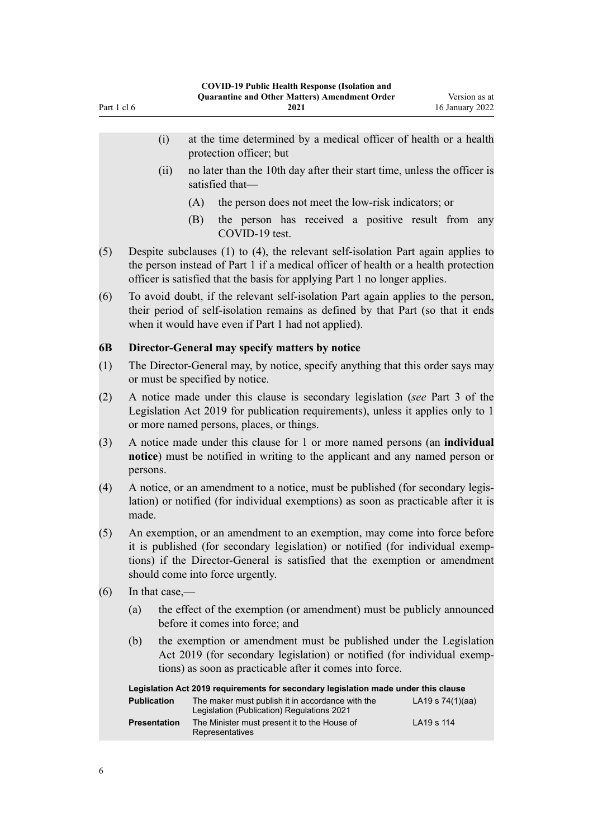- <span id="page-5-0"></span>(ii) no later than the 10th day after their start time, unless the officer is satisfied that—
	- (A) the person does not meet the low-risk indicators; or
	- (B) the person has received a positive result from any COVID-19 test.
- (5) Despite subclauses (1) to (4), the relevant self-isolation Part again applies to the person instead of Part 1 if a medical officer of health or a health protection officer is satisfied that the basis for applying Part 1 no longer applies.
- (6) To avoid doubt, if the relevant self-isolation Part again applies to the person, their period of self-isolation remains as defined by that Part (so that it ends when it would have even if Part 1 had not applied).

## **6B Director-General may specify matters by notice**

- (1) The Director-General may, by notice, specify anything that this order says may or must be specified by notice.
- (2) A notice made under this clause is secondary legislation (*see* Part 3 of the Legislation Act 2019 for publication requirements), unless it applies only to 1 or more named persons, places, or things.
- (3) A notice made under this clause for 1 or more named persons (an **individual notice**) must be notified in writing to the applicant and any named person or persons.
- (4) A notice, or an amendment to a notice, must be published (for secondary legis‐ lation) or notified (for individual exemptions) as soon as practicable after it is made.
- (5) An exemption, or an amendment to an exemption, may come into force before it is published (for secondary legislation) or notified (for individual exemp‐ tions) if the Director-General is satisfied that the exemption or amendment should come into force urgently.
- $(6)$  In that case,—
	- (a) the effect of the exemption (or amendment) must be publicly announced before it comes into force; and
	- (b) the exemption or amendment must be published under the Legislation Act 2019 (for secondary legislation) or notified (for individual exemptions) as soon as practicable after it comes into force.

| Legislation Act 2019 requirements for secondary legislation made under this clause |                                                                                                |                    |  |
|------------------------------------------------------------------------------------|------------------------------------------------------------------------------------------------|--------------------|--|
| <b>Publication</b>                                                                 | The maker must publish it in accordance with the<br>Legislation (Publication) Regulations 2021 | LA19 s $74(1)(aa)$ |  |
| <b>Presentation</b>                                                                | The Minister must present it to the House of<br>Representatives                                | LA19 s 114         |  |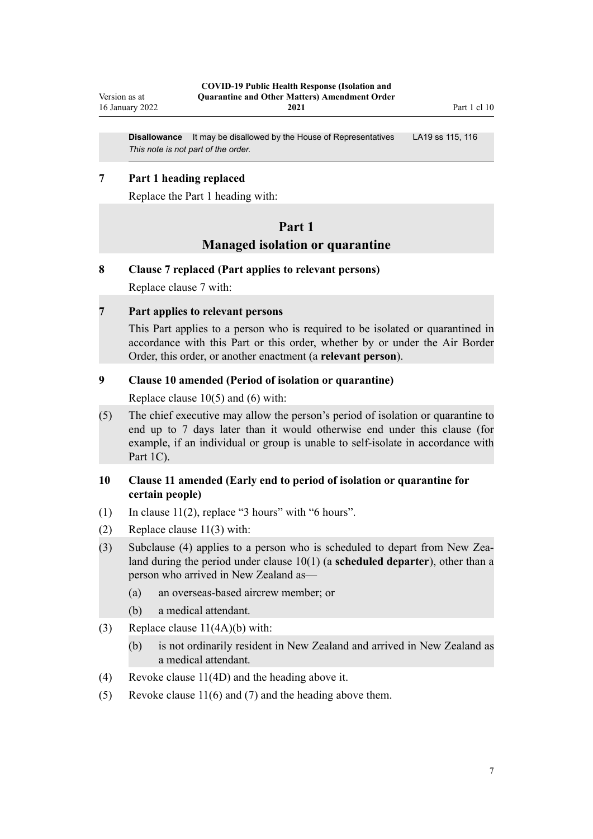<span id="page-6-0"></span>**Disallowance** It may be disallowed by the House of Representatives LA19 [ss 115](http://legislation.govt.nz/pdflink.aspx?id=DLM7298431), [116](http://legislation.govt.nz/pdflink.aspx?id=DLM7298432) *This note is not part of the order.*

## **7 Part 1 heading replaced**

Replace the [Part 1](http://legislation.govt.nz/pdflink.aspx?id=LMS401726) heading with:

## **Part 1 Managed isolation or quarantine**

#### **8 Clause 7 replaced (Part applies to relevant persons)**

Replace [clause 7](http://legislation.govt.nz/pdflink.aspx?id=LMS401705) with:

## **7 Part applies to relevant persons**

This Part applies to a person who is required to be isolated or quarantined in accordance with this Part or this order, whether by or under the Air Border Order, this order, or another enactment (a **relevant person**).

## **9 Clause 10 amended (Period of isolation or quarantine)**

Replace [clause 10\(5\) and \(6\)](http://legislation.govt.nz/pdflink.aspx?id=LMS401711) with:

(5) The chief executive may allow the person's period of isolation or quarantine to end up to 7 days later than it would otherwise end under this clause (for example, if an individual or group is unable to self-isolate in accordance with Part 1C).

## **10 Clause 11 amended (Early end to period of isolation or quarantine for certain people)**

- (1) In clause  $11(2)$ , replace "3 hours" with "6 hours".
- (2) Replace [clause 11\(3\)](http://legislation.govt.nz/pdflink.aspx?id=LMS401717) with:
- (3) Subclause (4) applies to a person who is scheduled to depart from New Zea‐ land during the period under clause 10(1) (a **scheduled departer**), other than a person who arrived in New Zealand as—
	- (a) an overseas-based aircrew member; or
	- (b) a medical attendant.
- (3) Replace [clause 11\(4A\)\(b\)](http://legislation.govt.nz/pdflink.aspx?id=LMS401717) with:
	- (b) is not ordinarily resident in New Zealand and arrived in New Zealand as a medical attendant.
- (4) Revoke [clause 11\(4D\)](http://legislation.govt.nz/pdflink.aspx?id=LMS401717) and the heading above it.
- (5) Revoke [clause 11\(6\) and \(7\)](http://legislation.govt.nz/pdflink.aspx?id=LMS401717) and the heading above them.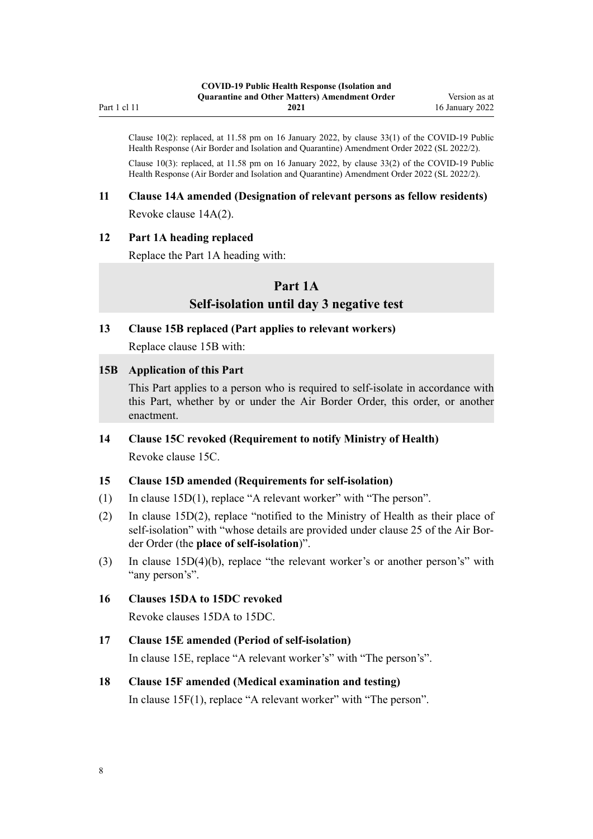<span id="page-7-0"></span>Clause 10(2): replaced, at 11.58 pm on 16 January 2022, by [clause 33\(1\)](http://legislation.govt.nz/pdflink.aspx?id=LMS629339) of the COVID-19 Public Health Response (Air Border and Isolation and Quarantine) Amendment Order 2022 (SL 2022/2). Clause 10(3): replaced, at 11.58 pm on 16 January 2022, by [clause 33\(2\)](http://legislation.govt.nz/pdflink.aspx?id=LMS629339) of the COVID-19 Public Health Response (Air Border and Isolation and Quarantine) Amendment Order 2022 (SL 2022/2).

## **11 Clause 14A amended (Designation of relevant persons as fellow residents)** Revoke [clause 14A\(2\)](http://legislation.govt.nz/pdflink.aspx?id=LMS415251).

## **12 Part 1A heading replaced**

Replace the [Part 1A](http://legislation.govt.nz/pdflink.aspx?id=LMS415267) heading with:

## **Part 1A**

## **Self-isolation until day 3 negative test**

#### **13 Clause 15B replaced (Part applies to relevant workers)**

Replace [clause 15B](http://legislation.govt.nz/pdflink.aspx?id=LMS415259) with:

## **15B Application of this Part**

This Part applies to a person who is required to self-isolate in accordance with this Part, whether by or under the Air Border Order, this order, or another enactment.

## **14 Clause 15C revoked (Requirement to notify Ministry of Health)** Revoke [clause 15C.](http://legislation.govt.nz/pdflink.aspx?id=LMS415261)

## **15 Clause 15D amended (Requirements for self-isolation)**

- (1) In [clause 15D\(1\)](http://legislation.govt.nz/pdflink.aspx?id=LMS415262), replace "A relevant worker" with "The person".
- (2) In [clause 15D\(2\),](http://legislation.govt.nz/pdflink.aspx?id=LMS415262) replace "notified to the Ministry of Health as their place of self-isolation" with "whose details are provided under clause 25 of the Air Border Order (the **place of self-isolation**)".
- (3) In [clause 15D\(4\)\(b\)](http://legislation.govt.nz/pdflink.aspx?id=LMS415262), replace "the relevant worker's or another person's" with "any person's".

## **16 Clauses 15DA to 15DC revoked**

Revoke [clauses 15DA to 15DC.](http://legislation.govt.nz/pdflink.aspx?id=LMS439201)

## **17 Clause 15E amended (Period of self-isolation)**

In [clause 15E,](http://legislation.govt.nz/pdflink.aspx?id=LMS415264) replace "A relevant worker's" with "The person's".

## **18 Clause 15F amended (Medical examination and testing)**

In [clause 15F\(1\),](http://legislation.govt.nz/pdflink.aspx?id=LMS415265) replace "A relevant worker" with "The person".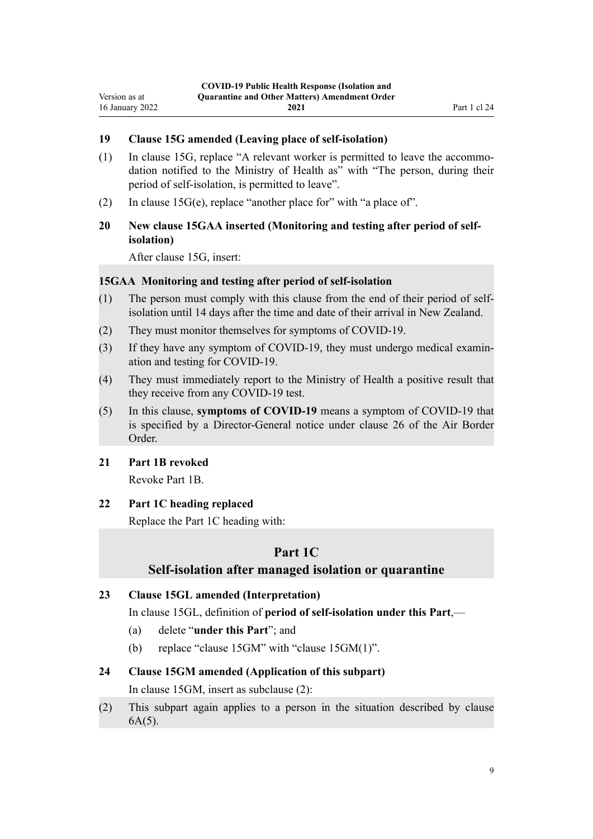## <span id="page-8-0"></span>**19 Clause 15G amended (Leaving place of self-isolation)**

- (1) In [clause 15G](http://legislation.govt.nz/pdflink.aspx?id=LMS415266), replace "A relevant worker is permitted to leave the accommo‐ dation notified to the Ministry of Health as" with "The person, during their period of self-isolation, is permitted to leave".
- (2) In clause  $15G(e)$ , replace "another place for" with "a place of".

## **20 New clause 15GAA inserted (Monitoring and testing after period of selfisolation)**

After [clause 15G,](http://legislation.govt.nz/pdflink.aspx?id=LMS415266) insert:

#### **15GAA Monitoring and testing after period of self-isolation**

- (1) The person must comply with this clause from the end of their period of selfisolation until 14 days after the time and date of their arrival in New Zealand.
- (2) They must monitor themselves for symptoms of COVID-19.
- (3) If they have any symptom of COVID-19, they must undergo medical examin‐ ation and testing for COVID-19.
- (4) They must immediately report to the Ministry of Health a positive result that they receive from any COVID-19 test.
- (5) In this clause, **symptoms of COVID-19** means a symptom of COVID-19 that is specified by a Director-General notice under clause 26 of the Air Border Order.

## **21 Part 1B revoked**

Revoke [Part 1B](http://legislation.govt.nz/pdflink.aspx?id=LMS585055).

#### **22 Part 1C heading replaced**

Replace the [Part 1C](http://legislation.govt.nz/pdflink.aspx?id=LMS596648) heading with:

## **Part 1C**

#### **Self-isolation after managed isolation or quarantine**

## **23 Clause 15GL amended (Interpretation)**

In [clause 15GL](http://legislation.govt.nz/pdflink.aspx?id=LMS596636), definition of **period of self-isolation under this Part**,—

- (a) delete "**under this Part**"; and
- (b) replace "clause 15GM" with "clause 15GM(1)".

#### **24 Clause 15GM amended (Application of this subpart)**

In [clause 15GM](http://legislation.govt.nz/pdflink.aspx?id=LMS596637), insert as subclause (2):

(2) This subpart again applies to a person in the situation described by clause 6A(5).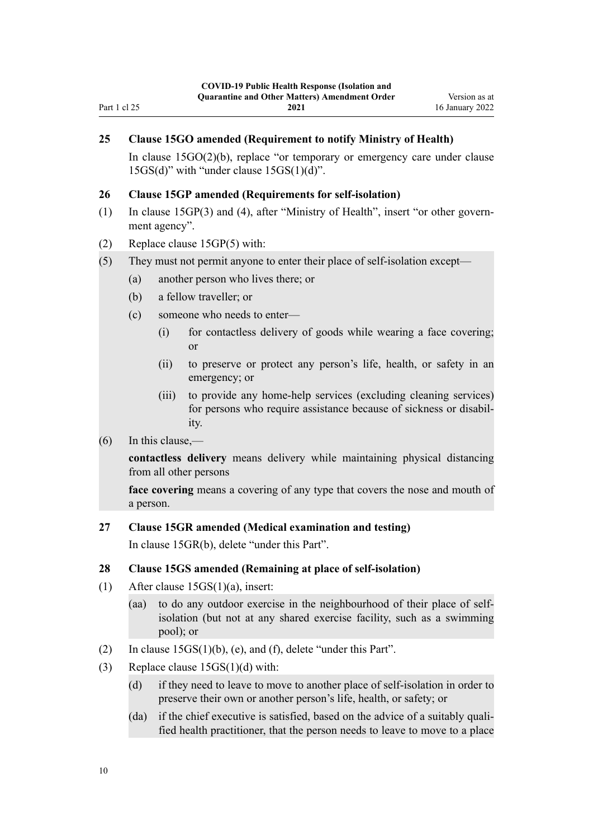## <span id="page-9-0"></span>**25 Clause 15GO amended (Requirement to notify Ministry of Health)**

In [clause 15GO\(2\)\(b\),](http://legislation.govt.nz/pdflink.aspx?id=LMS596639) replace "or temporary or emergency care under clause 15GS(d)" with "under clause 15GS(1)(d)".

#### **26 Clause 15GP amended (Requirements for self-isolation)**

- (1) In [clause 15GP\(3\) and \(4\)](http://legislation.govt.nz/pdflink.aspx?id=LMS596640), after "Ministry of Health", insert "or other govern‐ ment agency".
- (2) Replace [clause 15GP\(5\)](http://legislation.govt.nz/pdflink.aspx?id=LMS596640) with:
- (5) They must not permit anyone to enter their place of self-isolation except—
	- (a) another person who lives there; or
	- (b) a fellow traveller; or
	- (c) someone who needs to enter—
		- (i) for contactless delivery of goods while wearing a face covering; or
		- (ii) to preserve or protect any person's life, health, or safety in an emergency; or
		- (iii) to provide any home-help services (excluding cleaning services) for persons who require assistance because of sickness or disability.

### (6) In this clause,—

**contactless delivery** means delivery while maintaining physical distancing from all other persons

**face covering** means a covering of any type that covers the nose and mouth of a person.

#### **27 Clause 15GR amended (Medical examination and testing)**

In [clause 15GR\(b\)](http://legislation.govt.nz/pdflink.aspx?id=LMS596642), delete "under this Part".

#### **28 Clause 15GS amended (Remaining at place of self-isolation)**

- (1) After [clause 15GS\(1\)\(a\)](http://legislation.govt.nz/pdflink.aspx?id=LMS596643), insert:
	- (aa) to do any outdoor exercise in the neighbourhood of their place of selfisolation (but not at any shared exercise facility, such as a swimming pool); or
- (2) In [clause 15GS\(1\)\(b\), \(e\), and \(f\),](http://legislation.govt.nz/pdflink.aspx?id=LMS596643) delete "under this Part".
- (3) Replace [clause 15GS\(1\)\(d\)](http://legislation.govt.nz/pdflink.aspx?id=LMS596643) with:
	- (d) if they need to leave to move to another place of self-isolation in order to preserve their own or another person's life, health, or safety; or
	- (da) if the chief executive is satisfied, based on the advice of a suitably qualified health practitioner, that the person needs to leave to move to a place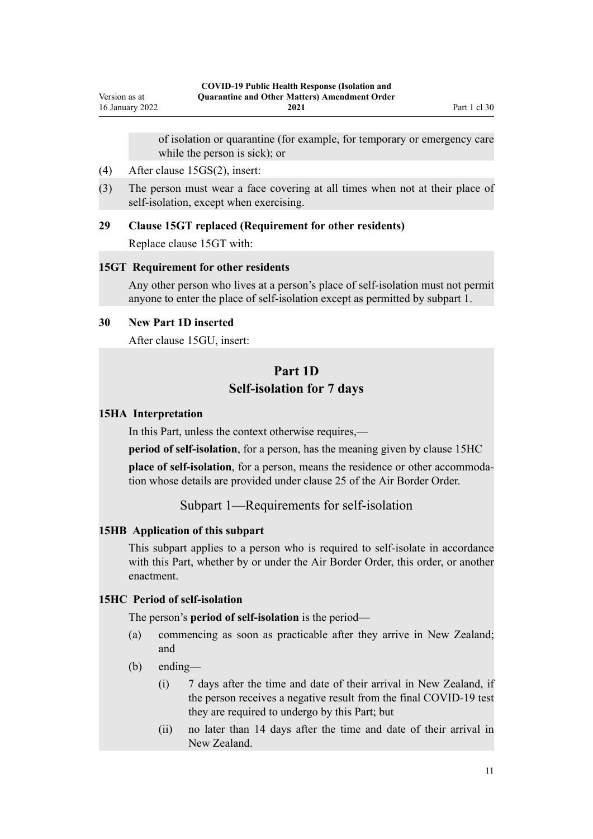of isolation or quarantine (for example, for temporary or emergency care while the person is sick); or

- <span id="page-10-0"></span>(4) After [clause 15GS\(2\),](http://legislation.govt.nz/pdflink.aspx?id=LMS596643) insert:
- (3) The person must wear a face covering at all times when not at their place of self-isolation, except when exercising.

#### **29 Clause 15GT replaced (Requirement for other residents)**

Replace [clause 15GT](http://legislation.govt.nz/pdflink.aspx?id=LMS596645) with:

#### **15GT Requirement for other residents**

Any other person who lives at a person's place of self-isolation must not permit anyone to enter the place of self-isolation except as permitted by subpart 1.

## **30 New Part 1D inserted**

After [clause 15GU](http://legislation.govt.nz/pdflink.aspx?id=LMS596646), insert:

## **Part 1D Self-isolation for 7 days**

#### **15HA Interpretation**

In this Part, unless the context otherwise requires,—

**period of self-isolation**, for a person, has the meaning given by clause 15HC

**place of self-isolation**, for a person, means the residence or other accommodation whose details are provided under clause 25 of the Air Border Order.

Subpart 1—Requirements for self-isolation

#### **15HB Application of this subpart**

This subpart applies to a person who is required to self-isolate in accordance with this Part, whether by or under the Air Border Order, this order, or another enactment.

## **15HC Period of self-isolation**

The person's **period of self-isolation** is the period—

- (a) commencing as soon as practicable after they arrive in New Zealand; and
- (b) ending—
	- (i) 7 days after the time and date of their arrival in New Zealand, if the person receives a negative result from the final COVID-19 test they are required to undergo by this Part; but
	- (ii) no later than 14 days after the time and date of their arrival in New Zealand.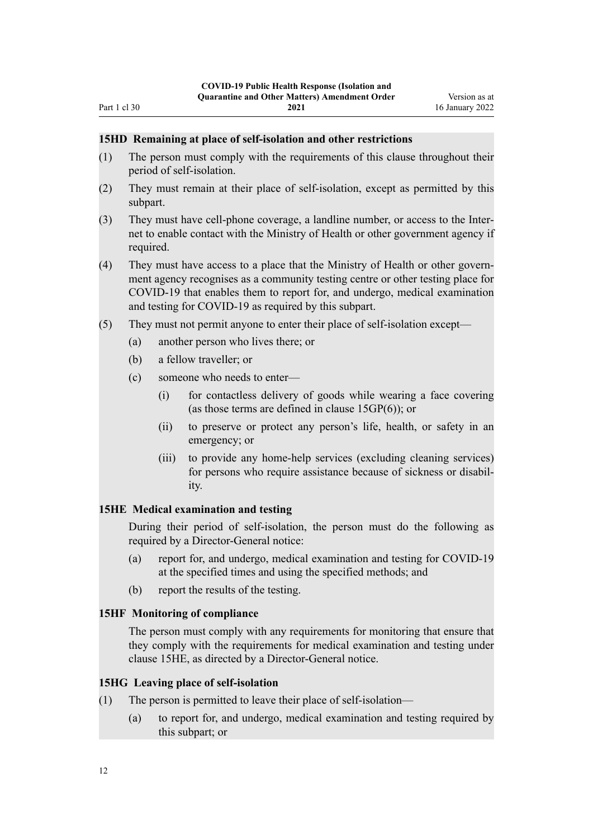#### **15HD Remaining at place of self-isolation and other restrictions**

- (1) The person must comply with the requirements of this clause throughout their period of self-isolation.
- (2) They must remain at their place of self-isolation, except as permitted by this subpart.
- (3) They must have cell-phone coverage, a landline number, or access to the Inter‐ net to enable contact with the Ministry of Health or other government agency if required.
- (4) They must have access to a place that the Ministry of Health or other govern‐ ment agency recognises as a community testing centre or other testing place for COVID-19 that enables them to report for, and undergo, medical examination and testing for COVID-19 as required by this subpart.
- (5) They must not permit anyone to enter their place of self-isolation except—
	- (a) another person who lives there; or
	- (b) a fellow traveller; or

<span id="page-11-0"></span>Part 1 cl 30

- (c) someone who needs to enter—
	- (i) for contactless delivery of goods while wearing a face covering (as those terms are defined in clause 15GP(6)); or
	- (ii) to preserve or protect any person's life, health, or safety in an emergency; or
	- (iii) to provide any home-help services (excluding cleaning services) for persons who require assistance because of sickness or disability.

### **15HE Medical examination and testing**

During their period of self-isolation, the person must do the following as required by a Director-General notice:

- (a) report for, and undergo, medical examination and testing for COVID-19 at the specified times and using the specified methods; and
- (b) report the results of the testing.

#### **15HF Monitoring of compliance**

The person must comply with any requirements for monitoring that ensure that they comply with the requirements for medical examination and testing under clause 15HE, as directed by a Director-General notice.

### **15HG Leaving place of self-isolation**

- (1) The person is permitted to leave their place of self-isolation—
	- (a) to report for, and undergo, medical examination and testing required by this subpart; or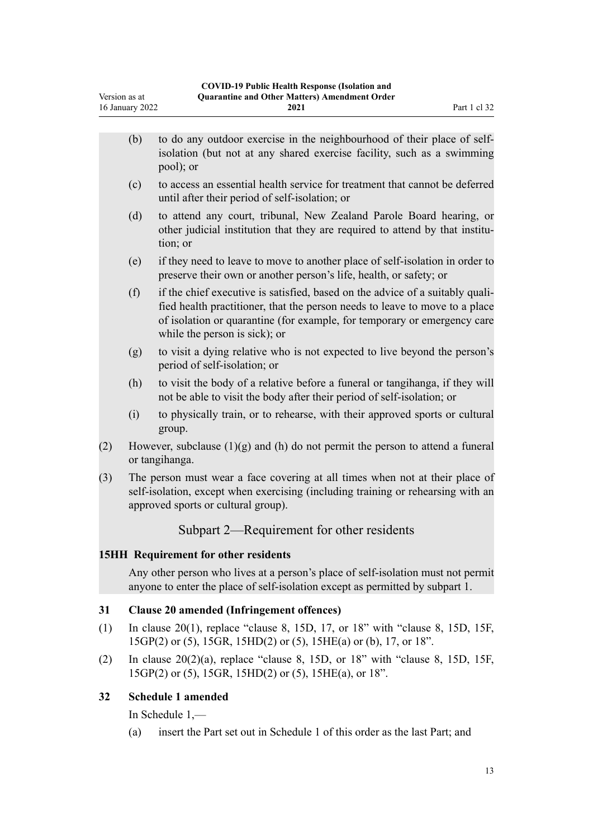<span id="page-12-0"></span>

|     | (b)                                                                                                                                                                                                     | to do any outdoor exercise in the neighbourhood of their place of self-<br>isolation (but not at any shared exercise facility, such as a swimming<br>pool); or                                                                                                            |
|-----|---------------------------------------------------------------------------------------------------------------------------------------------------------------------------------------------------------|---------------------------------------------------------------------------------------------------------------------------------------------------------------------------------------------------------------------------------------------------------------------------|
|     | (c)                                                                                                                                                                                                     | to access an essential health service for treatment that cannot be deferred<br>until after their period of self-isolation; or                                                                                                                                             |
|     | (d)                                                                                                                                                                                                     | to attend any court, tribunal, New Zealand Parole Board hearing, or<br>other judicial institution that they are required to attend by that institu-<br>tion; or                                                                                                           |
|     | (e)                                                                                                                                                                                                     | if they need to leave to move to another place of self-isolation in order to<br>preserve their own or another person's life, health, or safety; or                                                                                                                        |
|     | (f)                                                                                                                                                                                                     | if the chief executive is satisfied, based on the advice of a suitably quali-<br>fied health practitioner, that the person needs to leave to move to a place<br>of isolation or quarantine (for example, for temporary or emergency care<br>while the person is sick); or |
|     | (g)                                                                                                                                                                                                     | to visit a dying relative who is not expected to live beyond the person's<br>period of self-isolation; or                                                                                                                                                                 |
|     | (h)                                                                                                                                                                                                     | to visit the body of a relative before a funeral or tangihanga, if they will<br>not be able to visit the body after their period of self-isolation; or                                                                                                                    |
|     | (i)                                                                                                                                                                                                     | to physically train, or to rehearse, with their approved sports or cultural<br>group.                                                                                                                                                                                     |
| (2) | However, subclause $(1)(g)$ and $(h)$ do not permit the person to attend a funeral<br>or tangihanga.                                                                                                    |                                                                                                                                                                                                                                                                           |
| (3) | The person must wear a face covering at all times when not at their place of<br>self-isolation, except when exercising (including training or rehearsing with an<br>approved sports or cultural group). |                                                                                                                                                                                                                                                                           |
|     |                                                                                                                                                                                                         | Subpart 2—Requirement for other residents                                                                                                                                                                                                                                 |
|     |                                                                                                                                                                                                         | <b>15HH Requirement for other residents</b>                                                                                                                                                                                                                               |
|     |                                                                                                                                                                                                         | Any other person who lives at a person's place of self-isolation must not permit<br>anyone to enter the place of self-isolation except as permitted by subpart 1.                                                                                                         |

## **31 Clause 20 amended (Infringement offences)**

- (1) In [clause 20\(1\)](http://legislation.govt.nz/pdflink.aspx?id=LMS612968), replace "clause 8, 15D, 17, or 18" with "clause 8, 15D, 15F, 15GP(2) or (5), 15GR, 15HD(2) or (5), 15HE(a) or (b), 17, or 18".
- (2) In clause  $20(2)(a)$ , replace "clause 8, 15D, or 18" with "clause 8, 15D, 15F, 15GP(2) or (5), 15GR, 15HD(2) or (5), 15HE(a), or 18".

## **32 Schedule 1 amended**

In [Schedule 1](http://legislation.govt.nz/pdflink.aspx?id=LMS401747),—

(a) insert the Part set out in [Schedule 1](#page-14-0) of this order as the last Part; and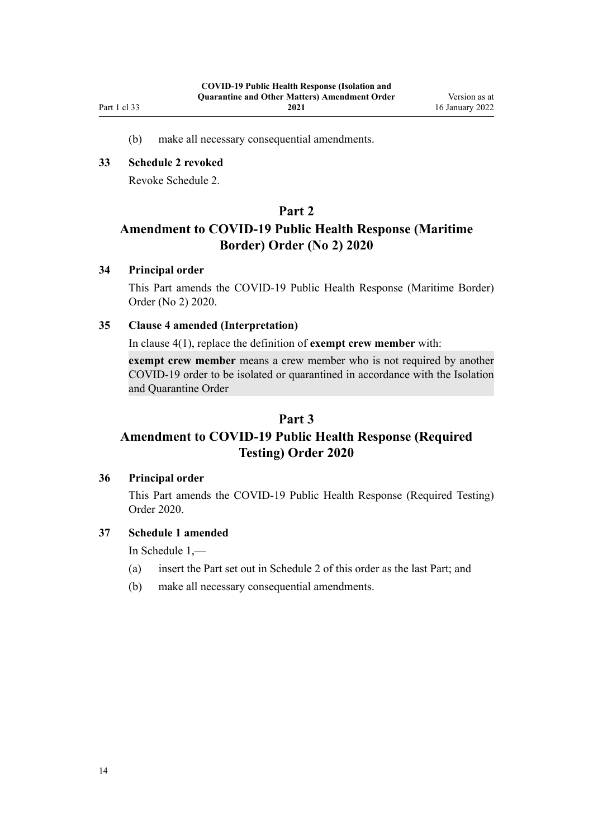<span id="page-13-0"></span>Part 1 cl 33

(b) make all necessary consequential amendments.

## **33 Schedule 2 revoked**

Revoke [Schedule 2.](http://legislation.govt.nz/pdflink.aspx?id=LMS439246)

## **Part 2**

## **Amendment to COVID-19 Public Health Response (Maritime Border) Order (No 2) 2020**

## **34 Principal order**

This Part amends the [COVID-19 Public Health Response \(Maritime Border\)](http://legislation.govt.nz/pdflink.aspx?id=LMS403465) [Order \(No 2\) 2020](http://legislation.govt.nz/pdflink.aspx?id=LMS403465).

## **35 Clause 4 amended (Interpretation)**

In [clause 4\(1\)](http://legislation.govt.nz/pdflink.aspx?id=LMS403543), replace the definition of **exempt crew member** with:

**exempt crew member** means a crew member who is not required by another COVID-19 order to be isolated or quarantined in accordance with the Isolation and Quarantine Order

## **Part 3**

## **Amendment to COVID-19 Public Health Response (Required Testing) Order 2020**

#### **36 Principal order**

This Part amends the [COVID-19 Public Health Response \(Required Testing\)](http://legislation.govt.nz/pdflink.aspx?id=LMS400301) [Order 2020.](http://legislation.govt.nz/pdflink.aspx?id=LMS400301)

## **37 Schedule 1 amended**

In [Schedule 1](http://legislation.govt.nz/pdflink.aspx?id=LMS400351),—

- (a) insert the Part set out in [Schedule 2](#page-15-0) of this order as the last Part; and
- (b) make all necessary consequential amendments.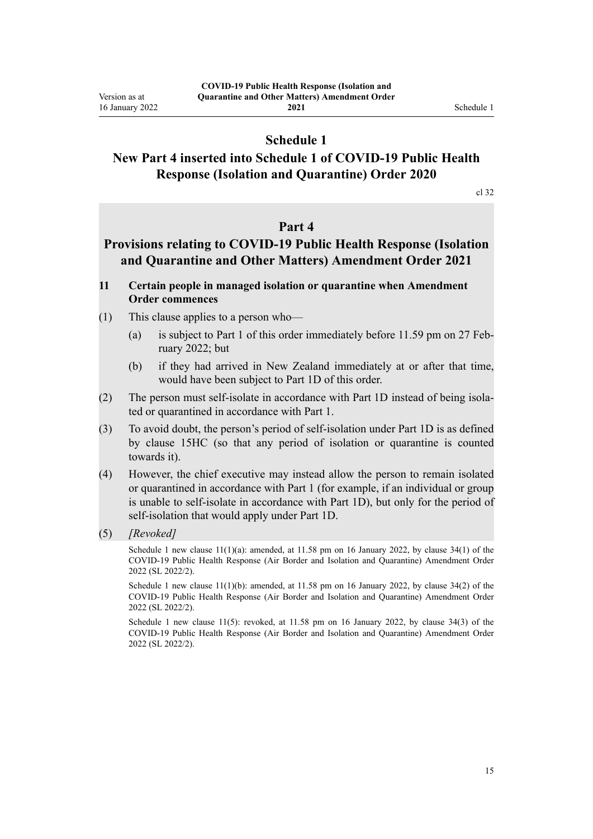## **Schedule 1**

## <span id="page-14-0"></span>**New Part 4 inserted into Schedule 1 of COVID-19 Public Health Response (Isolation and Quarantine) Order 2020**

[cl 32](#page-12-0)

## **Part 4**

## **Provisions relating to COVID-19 Public Health Response (Isolation and Quarantine and Other Matters) Amendment Order 2021**

### **11 Certain people in managed isolation or quarantine when Amendment Order commences**

- (1) This clause applies to a person who—
	- (a) is subject to Part 1 of this order immediately before 11.59 pm on 27 February 2022; but
	- (b) if they had arrived in New Zealand immediately at or after that time, would have been subject to Part 1D of this order.
- (2) The person must self-isolate in accordance with Part 1D instead of being isola‐ ted or quarantined in accordance with Part 1.
- (3) To avoid doubt, the person's period of self-isolation under Part 1D is as defined by clause 15HC (so that any period of isolation or quarantine is counted towards it).
- (4) However, the chief executive may instead allow the person to remain isolated or quarantined in accordance with Part 1 (for example, if an individual or group is unable to self-isolate in accordance with Part 1D), but only for the period of self-isolation that would apply under Part 1D.
- (5) *[Revoked]*

Schedule 1 new clause 11(1)(a): amended, at 11.58 pm on 16 January 2022, by [clause 34\(1\)](http://legislation.govt.nz/pdflink.aspx?id=LMS629340) of the COVID-19 Public Health Response (Air Border and Isolation and Quarantine) Amendment Order 2022 (SL 2022/2).

Schedule 1 new clause  $11(1)(b)$ : amended, at 11.58 pm on 16 January 2022, by [clause 34\(2\)](http://legislation.govt.nz/pdflink.aspx?id=LMS629340) of the COVID-19 Public Health Response (Air Border and Isolation and Quarantine) Amendment Order 2022 (SL 2022/2).

Schedule 1 new clause 11(5): revoked, at 11.58 pm on 16 January 2022, by [clause 34\(3\)](http://legislation.govt.nz/pdflink.aspx?id=LMS629340) of the COVID-19 Public Health Response (Air Border and Isolation and Quarantine) Amendment Order 2022 (SL 2022/2).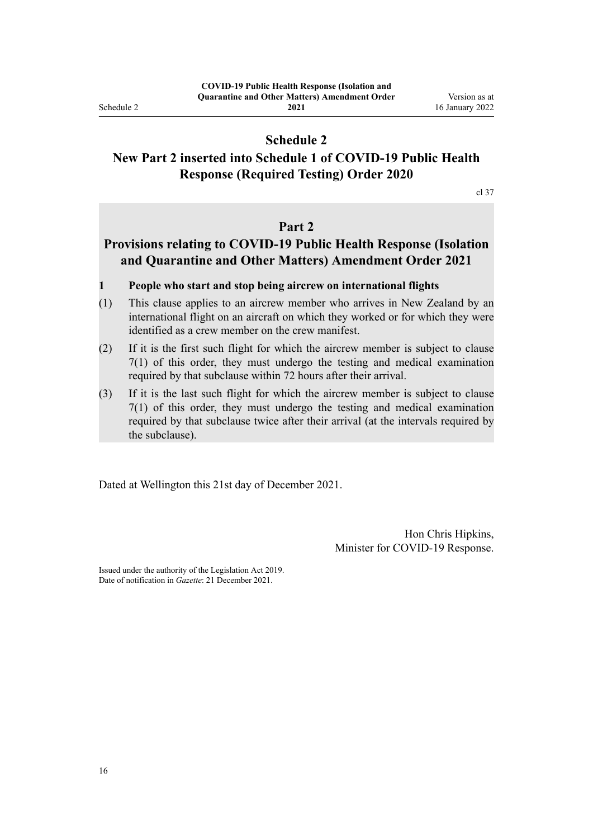<span id="page-15-0"></span>Schedule 2

**2021**

## **Schedule 2**

## **New Part 2 inserted into Schedule 1 of COVID-19 Public Health Response (Required Testing) Order 2020**

[cl 37](#page-13-0)

## **Part 2**

## **Provisions relating to COVID-19 Public Health Response (Isolation and Quarantine and Other Matters) Amendment Order 2021**

#### **1 People who start and stop being aircrew on international flights**

- (1) This clause applies to an aircrew member who arrives in New Zealand by an international flight on an aircraft on which they worked or for which they were identified as a crew member on the crew manifest.
- (2) If it is the first such flight for which the aircrew member is subject to clause 7(1) of this order, they must undergo the testing and medical examination required by that subclause within 72 hours after their arrival.
- (3) If it is the last such flight for which the aircrew member is subject to clause 7(1) of this order, they must undergo the testing and medical examination required by that subclause twice after their arrival (at the intervals required by the subclause).

Dated at Wellington this 21st day of December 2021.

Hon Chris Hipkins, Minister for COVID-19 Response.

Issued under the authority of the [Legislation Act 2019](http://legislation.govt.nz/pdflink.aspx?id=DLM7298104). Date of notification in *Gazette*: 21 December 2021.